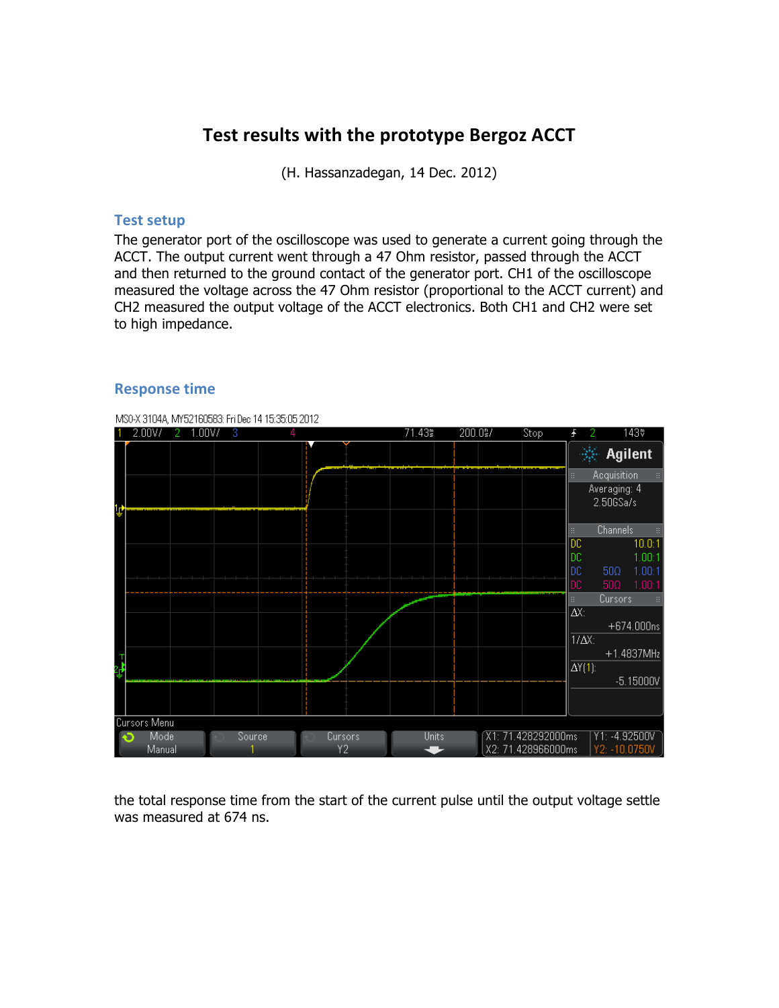# Test results with the prototype Bergoz ACCT

(H. Hassanzadegan, 14 Dec. 2012)

#### **Test setup**

The generator port of the oscilloscope was used to generate a current going through the ACCT. The output current went through a 47 Ohm resistor, passed through the ACCT and then returned to the ground contact of the generator port. CH1 of the oscilloscope measured the voltage across the 47 Ohm resistor (proportional to the ACCT current) and CH2 measured the output voltage of the ACCT electronics. Both CH1 and CH2 were set to high impedance.



#### **Response time**

the total response time from the start of the current pulse until the output voltage settle was measured at 674 ns.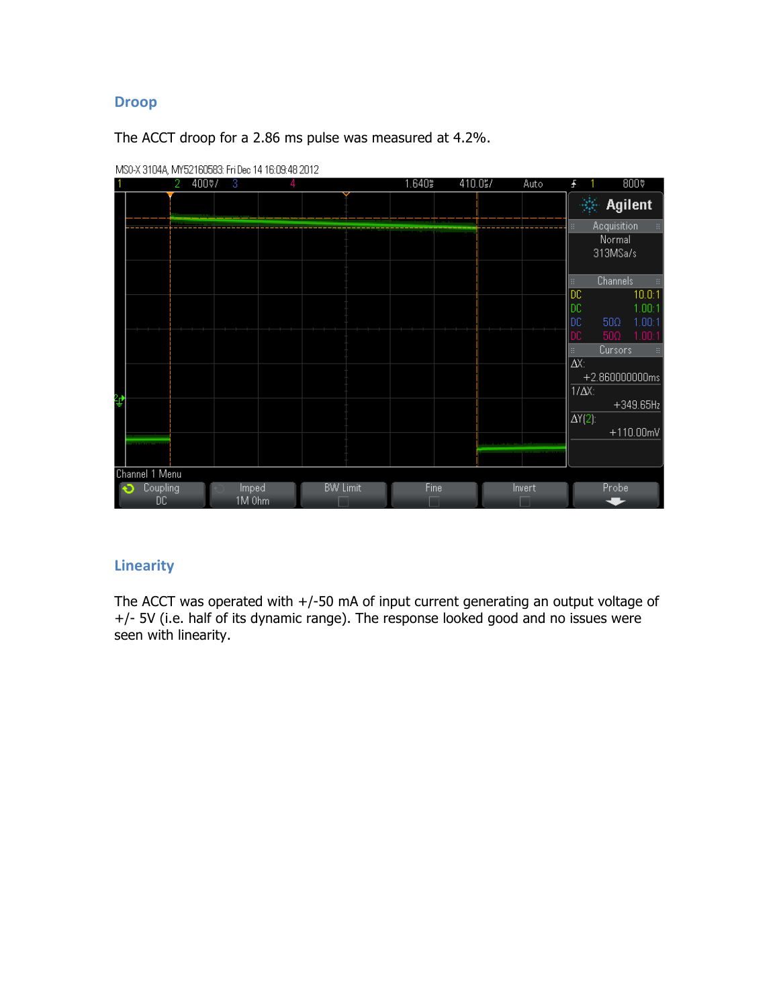### **Droop**

The ACCT droop for a 2.86 ms pulse was measured at 4.2%.



MS0-X 3104A, MY52160583: Fri Dec 14 16:09:48 2012

### **Linearity**

The ACCT was operated with +/-50 mA of input current generating an output voltage of +/- 5V (i.e. half of its dynamic range). The response looked good and no issues were seen with linearity.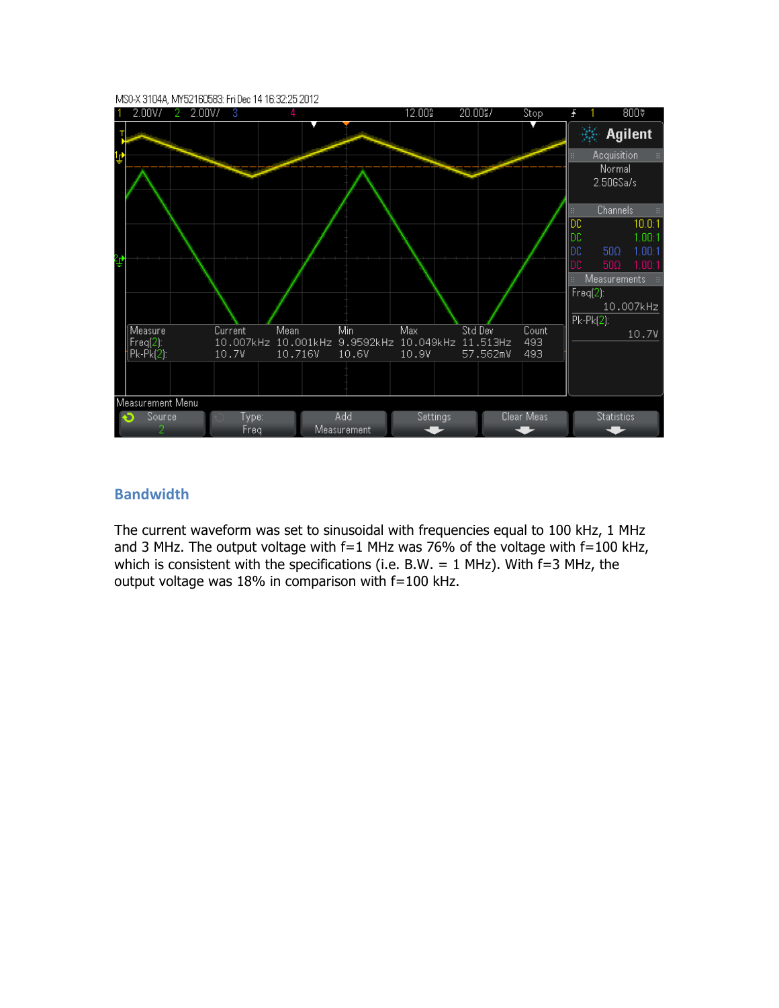

#### **Bandwidth**

The current waveform was set to sinusoidal with frequencies equal to 100 kHz, 1 MHz and 3 MHz. The output voltage with  $f=1$  MHz was 76% of the voltage with  $f=100$  kHz, which is consistent with the specifications (i.e. B.W.  $= 1$  MHz). With f=3 MHz, the output voltage was 18% in comparison with f=100 kHz.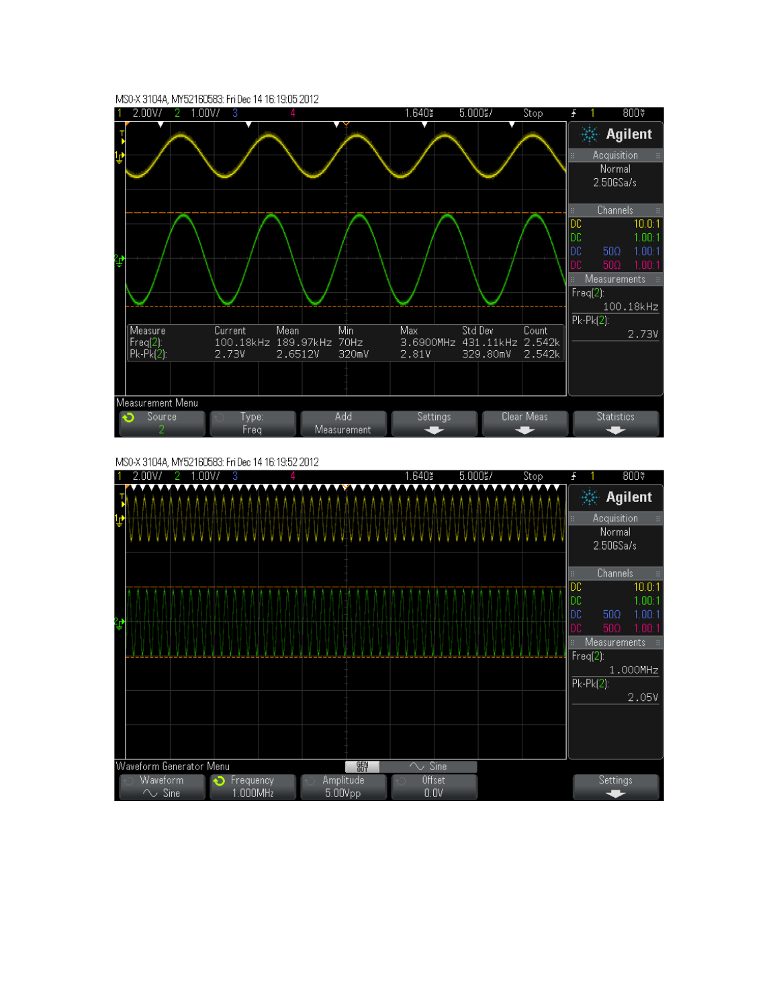



MS0-X 3104A, MY52160583: FriDec 14 16:19:52 2012

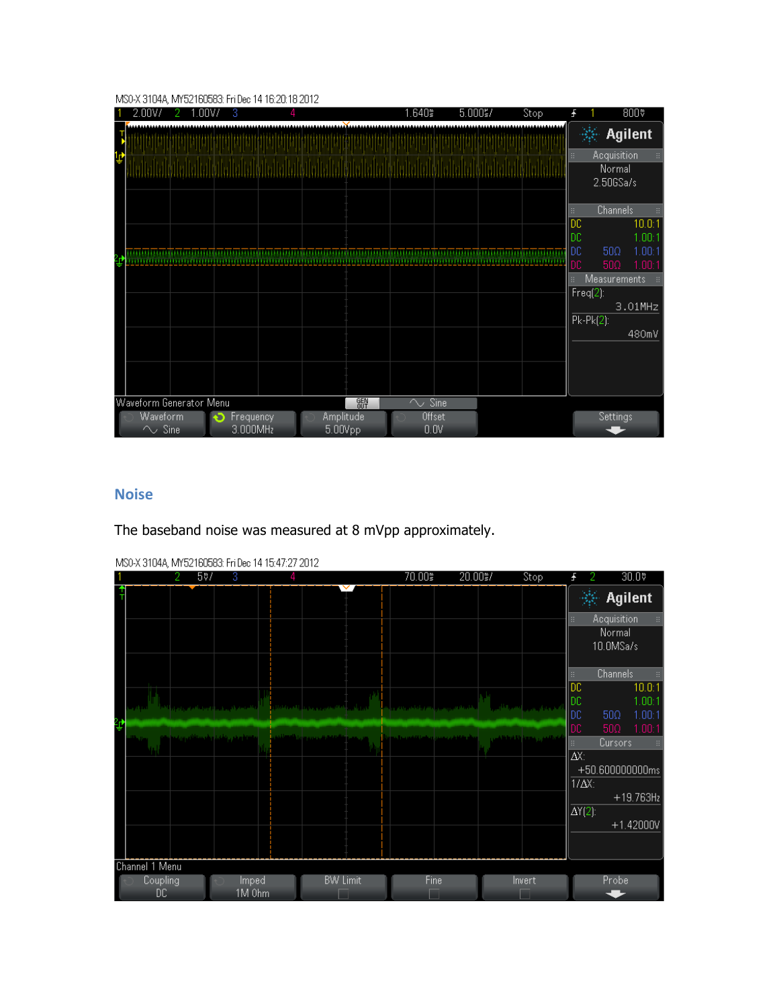#### MS0-X 3104A, MY52160583: FriDec 14 16:20:18 2012

|                                                  |  |  | 2.00V/ |  |  |  | 2 |  | 1.00V/ |  | 3 |                      |  |  | л |  |  |                |  |   |  |  |  | 1.640 |             |  | $5.000\frac{1}{5}$ / |                |  |  | Stop |  | Ŧ                 |                           |                                    | 800 <sub>*</sub> |                            |                |
|--------------------------------------------------|--|--|--------|--|--|--|---|--|--------|--|---|----------------------|--|--|---|--|--|----------------|--|---|--|--|--|-------|-------------|--|----------------------|----------------|--|--|------|--|-------------------|---------------------------|------------------------------------|------------------|----------------------------|----------------|
|                                                  |  |  |        |  |  |  |   |  |        |  |   |                      |  |  |   |  |  |                |  |   |  |  |  |       |             |  |                      |                |  |  |      |  |                   |                           | <b>Agilent</b>                     |                  |                            |                |
| 1₫                                               |  |  |        |  |  |  |   |  |        |  |   |                      |  |  |   |  |  |                |  |   |  |  |  |       |             |  |                      |                |  |  |      |  | B                 |                           | Acquisition<br>Normal<br>2.50GSa/s |                  |                            | $\mathbb{H}^+$ |
|                                                  |  |  |        |  |  |  |   |  |        |  |   |                      |  |  |   |  |  |                |  |   |  |  |  |       |             |  |                      |                |  |  |      |  | B<br>DC           |                           | <b>Channels</b>                    |                  | 10.0:1                     | B.             |
|                                                  |  |  |        |  |  |  |   |  |        |  |   |                      |  |  |   |  |  |                |  |   |  |  |  |       |             |  |                      |                |  |  |      |  | DC.<br>DC.<br>DC. |                           | 500<br>500                         |                  | 1.00:1<br>1.00:1<br>1.00:1 |                |
|                                                  |  |  |        |  |  |  |   |  |        |  |   |                      |  |  |   |  |  |                |  |   |  |  |  |       |             |  |                      |                |  |  |      |  | B                 | $Freq(2)$ :<br>$Pk-Pk(2)$ | <b>Measurements</b>                | 3.01MHz          |                            |                |
|                                                  |  |  |        |  |  |  |   |  |        |  |   |                      |  |  |   |  |  |                |  |   |  |  |  |       |             |  |                      |                |  |  |      |  |                   |                           |                                    | 480mV            |                            |                |
| Waveform Generator Menu                          |  |  |        |  |  |  |   |  |        |  |   |                      |  |  |   |  |  |                |  | 郻 |  |  |  |       | $\sim$ Sine |  |                      |                |  |  |      |  |                   |                           |                                    |                  |                            |                |
| Waveform<br>Frequency<br>3.000MHz<br>$\sim$ Sine |  |  |        |  |  |  |   |  |        |  |   | Amplitude<br>5.00Vpp |  |  |   |  |  | Offset<br>0.0V |  |   |  |  |  |       |             |  |                      | Settings<br>57 |  |  |      |  |                   |                           |                                    |                  |                            |                |

### **Noise**

The baseband noise was measured at 8 mVpp approximately.

|    |                | $5\%$                                    | 3                                             |                                                     |  | 70.00% | 20.00%                                        | Stop                                                                                     |                            | 30.0                              |
|----|----------------|------------------------------------------|-----------------------------------------------|-----------------------------------------------------|--|--------|-----------------------------------------------|------------------------------------------------------------------------------------------|----------------------------|-----------------------------------|
|    |                |                                          |                                               |                                                     |  |        |                                               |                                                                                          |                            | <b>Agilent</b>                    |
|    |                |                                          |                                               |                                                     |  |        |                                               |                                                                                          | H.                         | Acquisition<br>$\Xi$              |
|    |                |                                          |                                               |                                                     |  |        |                                               |                                                                                          |                            | Normal                            |
|    |                |                                          |                                               |                                                     |  |        |                                               |                                                                                          |                            | 10.0MSa/s                         |
|    |                |                                          |                                               |                                                     |  |        |                                               |                                                                                          |                            |                                   |
|    |                |                                          |                                               |                                                     |  |        |                                               |                                                                                          | Œ                          | <b>Channels</b><br>$\mathbb{H}^1$ |
|    |                |                                          |                                               |                                                     |  |        |                                               |                                                                                          | DC                         | 10.0:1                            |
|    | a di Lat       |                                          | والأطلعة والأقرب والممالية ومواجأته والمراوية | <b>The Commission Commission Commission</b>         |  |        |                                               | الأعدي ويقرب ويرو <mark>ح مسترد فلتسبب المتحدد فتروح ويستري مسترد والتاخير ويعترض</mark> | DC                         | 1.00:1                            |
| ረች |                |                                          |                                               |                                                     |  |        |                                               |                                                                                          | DC                         | 500<br>1.00:1                     |
|    |                | بالغانة هضرب ينشنب ويشبس تأثلهم بررنجوان |                                               | وسار ومعين أنتشته ليتناسب بترين سارية وألتنا وأباده |  |        | محاأه وتنافر شرب ومحبور ويحاصرا التشميم والمر | فادتانهم والمحجة فالشططيني                                                               | DC                         | 500<br>1.00:1                     |
|    |                |                                          |                                               |                                                     |  |        |                                               |                                                                                          | m                          | Cursors<br>B.                     |
|    |                |                                          |                                               |                                                     |  |        |                                               |                                                                                          | $\Delta X$ :               |                                   |
|    |                |                                          |                                               |                                                     |  |        |                                               |                                                                                          |                            | +50.600000000ms                   |
|    |                |                                          |                                               |                                                     |  |        |                                               |                                                                                          | $1/\Delta X$ :             | $+19.763Hz$                       |
|    |                |                                          |                                               |                                                     |  |        |                                               |                                                                                          | $\overline{\Delta Y(2)}$ : |                                   |
|    |                |                                          |                                               |                                                     |  |        |                                               |                                                                                          |                            | $+1.42000V$                       |
|    |                |                                          |                                               |                                                     |  |        |                                               |                                                                                          |                            |                                   |
|    |                |                                          |                                               |                                                     |  |        |                                               |                                                                                          |                            |                                   |
|    | Channel 1 Menu |                                          |                                               |                                                     |  |        |                                               |                                                                                          |                            |                                   |
|    | Coupling       |                                          | Imped                                         | <b>BW Limit</b>                                     |  | Fine   |                                               | Invert                                                                                   |                            | Probe                             |
|    | DC.            |                                          | 1M 0hm                                        |                                                     |  |        |                                               |                                                                                          |                            |                                   |

MS0-X 3104A, MY52160583: FriDec 14 15:47:27 2012